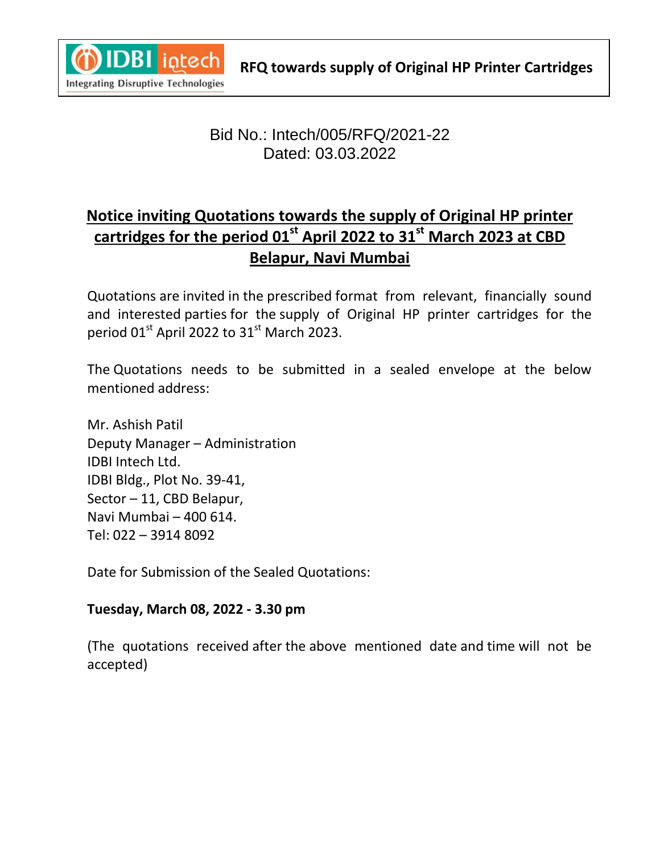

## Bid No.: Intech/005/RFQ/2021-22 Dated: 03.03.2022

# **Notice inviting Quotations towards the supply of Original HP printer cartridges for the period 01st April 2022 to 31st March 2023 at CBD Belapur, Navi Mumbai**

Quotations are invited in the prescribed format from relevant, financially sound and interested parties for the supply of Original HP printer cartridges for the period  $01<sup>st</sup>$  April 2022 to 31 $<sup>st</sup>$  March 2023.</sup>

The Quotations needs to be submitted in a sealed envelope at the below mentioned address:

Mr. Ashish Patil Deputy Manager – Administration IDBI Intech Ltd. IDBI Bldg., Plot No. 39-41, Sector – 11, CBD Belapur, Navi Mumbai – 400 614. Tel: 022 – 3914 8092

Date for Submission of the Sealed Quotations:

#### **Tuesday, March 08, 2022 - 3.30 pm**

(The quotations received after the above mentioned date and time will not be accepted)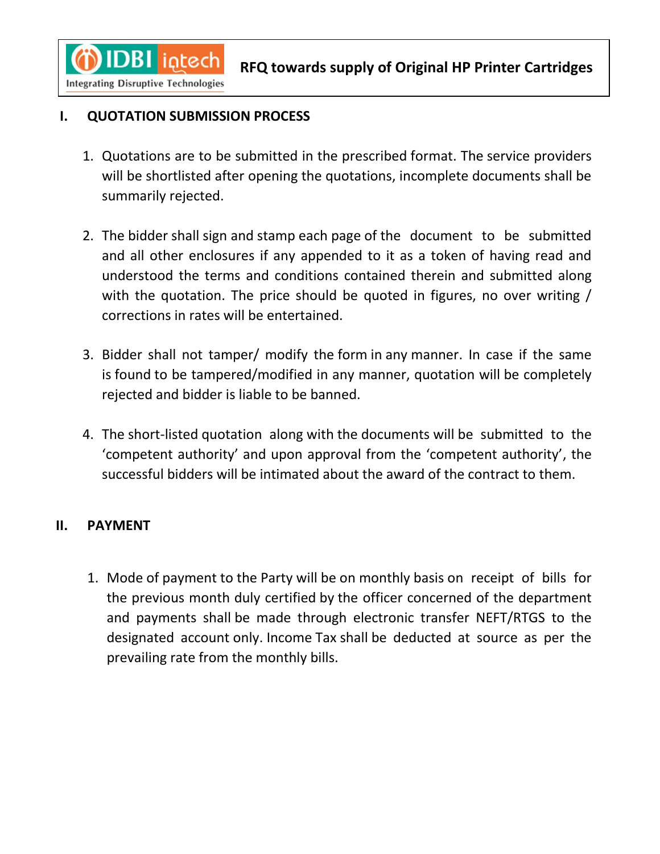

### **I. QUOTATION SUBMISSION PROCESS**

- 1. Quotations are to be submitted in the prescribed format. The service providers will be shortlisted after opening the quotations, incomplete documents shall be summarily rejected.
- 2. The bidder shall sign and stamp each page of the document to be submitted and all other enclosures if any appended to it as a token of having read and understood the terms and conditions contained therein and submitted along with the quotation. The price should be quoted in figures, no over writing / corrections in rates will be entertained.
- 3. Bidder shall not tamper/ modify the form in any manner. In case if the same is found to be tampered/modified in any manner, quotation will be completely rejected and bidder is liable to be banned.
- 4. The short-listed quotation along with the documents will be submitted to the 'competent authority' and upon approval from the 'competent authority', the successful bidders will be intimated about the award of the contract to them.

#### **II. PAYMENT**

1. Mode of payment to the Party will be on monthly basis on receipt of bills for the previous month duly certified by the officer concerned of the department and payments shall be made through electronic transfer NEFT/RTGS to the designated account only. Income Tax shall be deducted at source as per the prevailing rate from the monthly bills.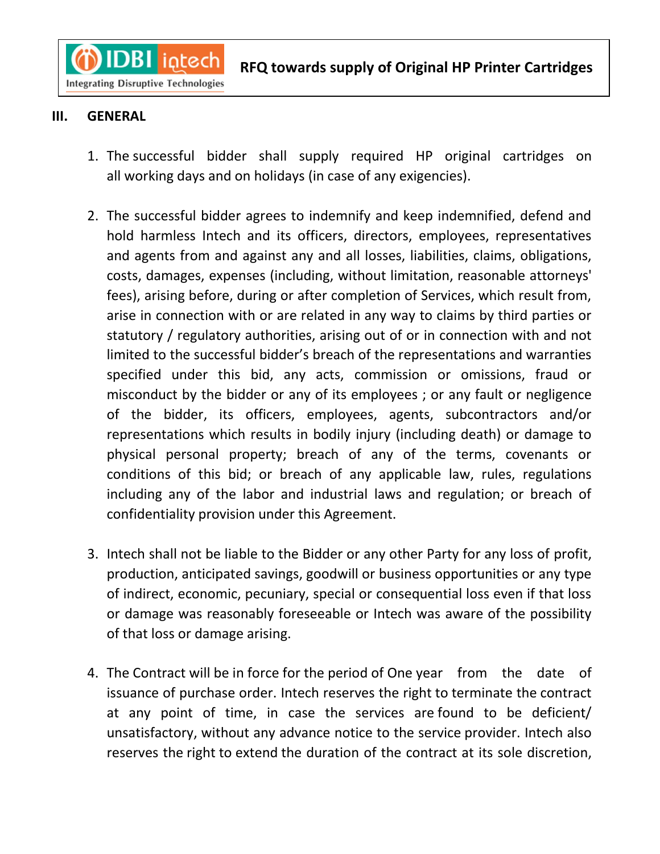**Integrating Disruptive Technologies** 

**IDBI** intech

### **III. GENERAL**

 $\mathbf C$ 

- 1. The successful bidder shall supply required HP original cartridges on all working days and on holidays (in case of any exigencies).
- 2. The successful bidder agrees to indemnify and keep indemnified, defend and hold harmless Intech and its officers, directors, employees, representatives and agents from and against any and all losses, liabilities, claims, obligations, costs, damages, expenses (including, without limitation, reasonable attorneys' fees), arising before, during or after completion of Services, which result from, arise in connection with or are related in any way to claims by third parties or statutory / regulatory authorities, arising out of or in connection with and not limited to the successful bidder's breach of the representations and warranties specified under this bid, any acts, commission or omissions, fraud or misconduct by the bidder or any of its employees ; or any fault or negligence of the bidder, its officers, employees, agents, subcontractors and/or representations which results in bodily injury (including death) or damage to physical personal property; breach of any of the terms, covenants or conditions of this bid; or breach of any applicable law, rules, regulations including any of the labor and industrial laws and regulation; or breach of confidentiality provision under this Agreement.
- 3. Intech shall not be liable to the Bidder or any other Party for any loss of profit, production, anticipated savings, goodwill or business opportunities or any type of indirect, economic, pecuniary, special or consequential loss even if that loss or damage was reasonably foreseeable or Intech was aware of the possibility of that loss or damage arising.
- 4. The Contract will be in force for the period of One year from the date of issuance of purchase order. Intech reserves the right to terminate the contract at any point of time, in case the services are found to be deficient/ unsatisfactory, without any advance notice to the service provider. Intech also reserves the right to extend the duration of the contract at its sole discretion,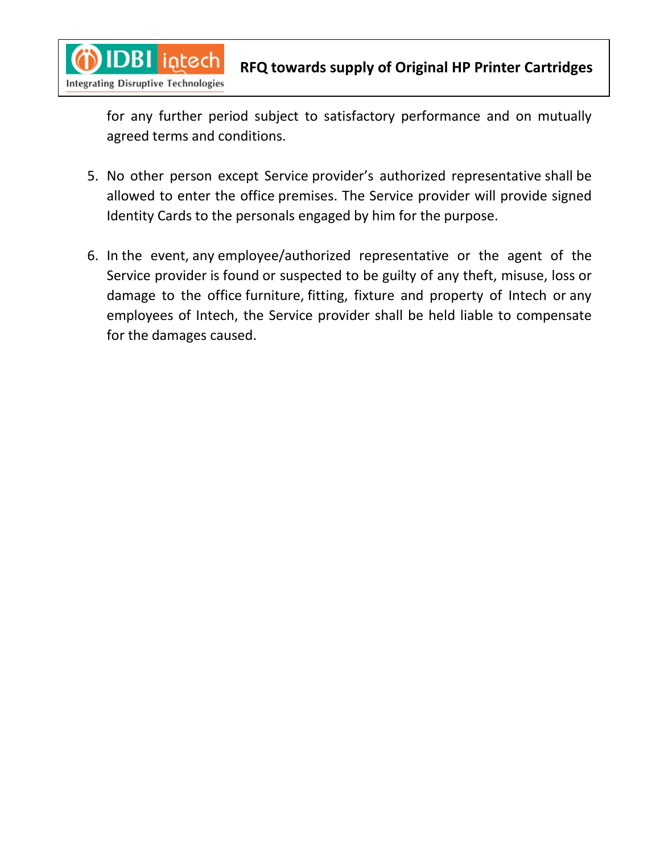

for any further period subject to satisfactory performance and on mutually agreed terms and conditions.

- 5. No other person except Service provider's authorized representative shall be allowed to enter the office premises. The Service provider will provide signed Identity Cards to the personals engaged by him for the purpose.
- 6. In the event, any employee/authorized representative or the agent of the Service provider is found or suspected to be guilty of any theft, misuse, loss or damage to the office furniture, fitting, fixture and property of Intech or any employees of Intech, the Service provider shall be held liable to compensate for the damages caused.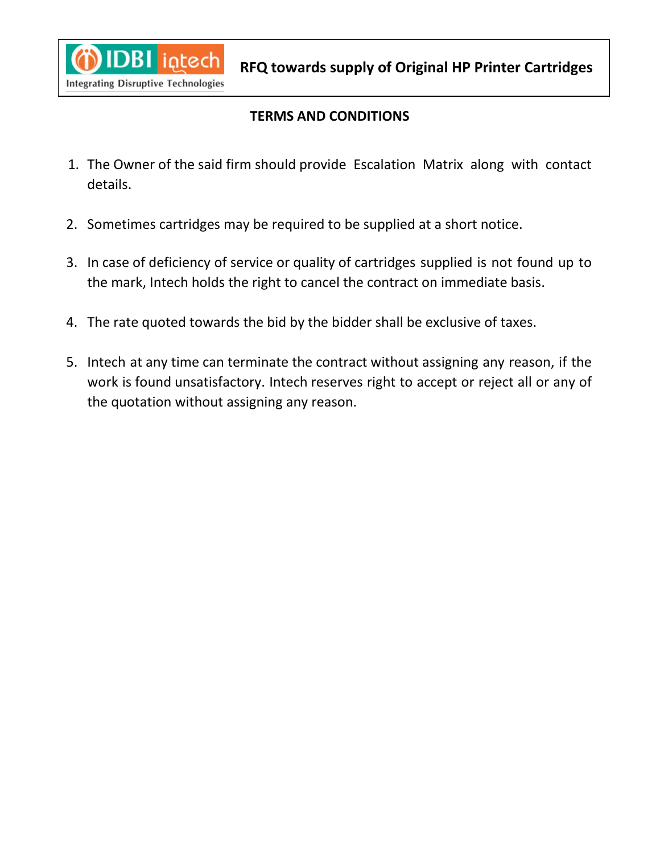

## **TERMS AND CONDITIONS**

- 1. The Owner of the said firm should provide Escalation Matrix along with contact details.
- 2. Sometimes cartridges may be required to be supplied at a short notice.
- 3. In case of deficiency of service or quality of cartridges supplied is not found up to the mark, Intech holds the right to cancel the contract on immediate basis.
- 4. The rate quoted towards the bid by the bidder shall be exclusive of taxes.
- 5. Intech at any time can terminate the contract without assigning any reason, if the work is found unsatisfactory. Intech reserves right to accept or reject all or any of the quotation without assigning any reason.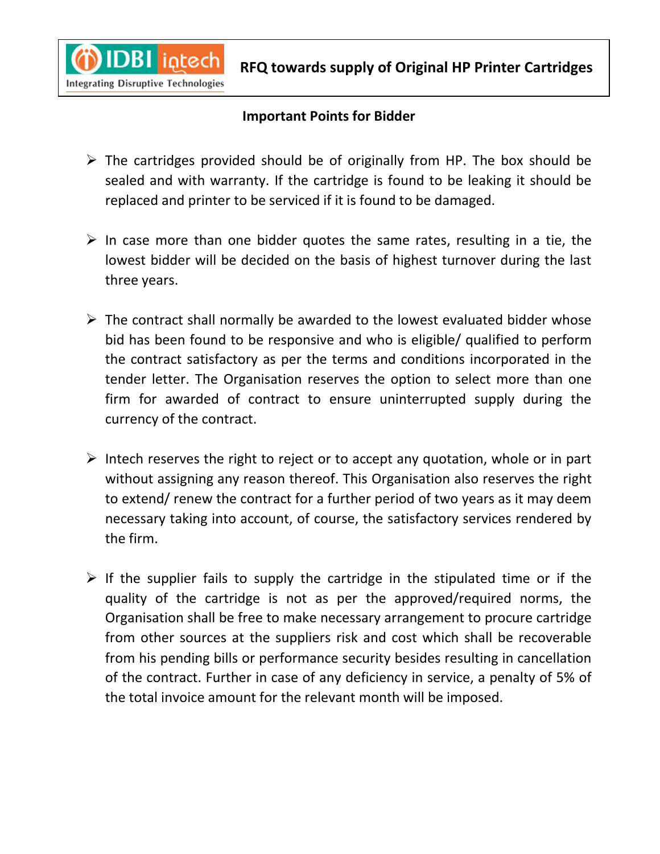

### **Important Points for Bidder**

- $\triangleright$  The cartridges provided should be of originally from HP. The box should be sealed and with warranty. If the cartridge is found to be leaking it should be replaced and printer to be serviced if it is found to be damaged.
- $\triangleright$  In case more than one bidder quotes the same rates, resulting in a tie, the lowest bidder will be decided on the basis of highest turnover during the last three years.
- $\triangleright$  The contract shall normally be awarded to the lowest evaluated bidder whose bid has been found to be responsive and who is eligible/ qualified to perform the contract satisfactory as per the terms and conditions incorporated in the tender letter. The Organisation reserves the option to select more than one firm for awarded of contract to ensure uninterrupted supply during the currency of the contract.
- $\triangleright$  Intech reserves the right to reject or to accept any quotation, whole or in part without assigning any reason thereof. This Organisation also reserves the right to extend/ renew the contract for a further period of two years as it may deem necessary taking into account, of course, the satisfactory services rendered by the firm.
- $\triangleright$  If the supplier fails to supply the cartridge in the stipulated time or if the quality of the cartridge is not as per the approved/required norms, the Organisation shall be free to make necessary arrangement to procure cartridge from other sources at the suppliers risk and cost which shall be recoverable from his pending bills or performance security besides resulting in cancellation of the contract. Further in case of any deficiency in service, a penalty of 5% of the total invoice amount for the relevant month will be imposed.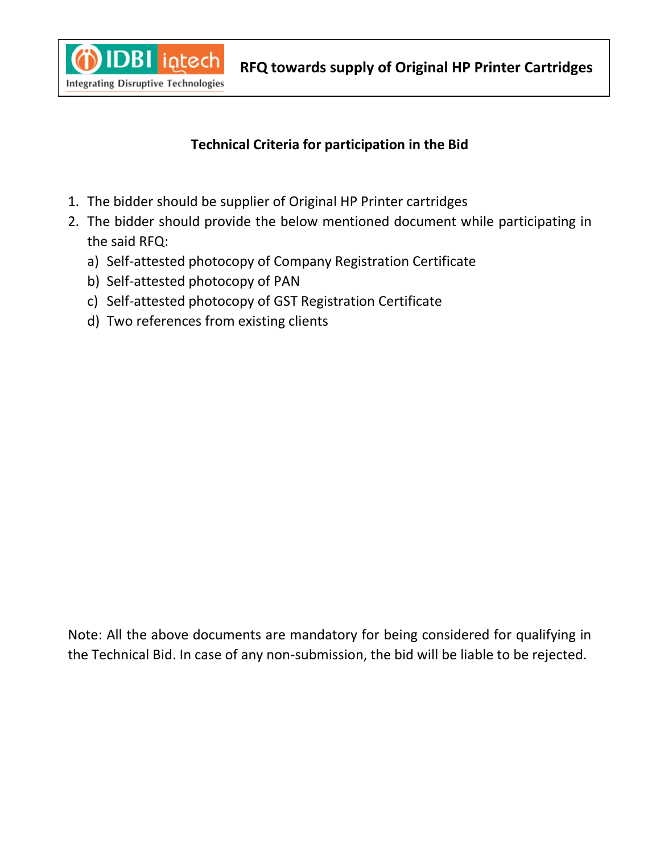

**RFQ towards supply of Original HP Printer Cartridges**

### **Technical Criteria for participation in the Bid**

- 1. The bidder should be supplier of Original HP Printer cartridges
- 2. The bidder should provide the below mentioned document while participating in the said RFQ:
	- a) Self-attested photocopy of Company Registration Certificate
	- b) Self-attested photocopy of PAN
	- c) Self-attested photocopy of GST Registration Certificate
	- d) Two references from existing clients

Note: All the above documents are mandatory for being considered for qualifying in the Technical Bid. In case of any non-submission, the bid will be liable to be rejected.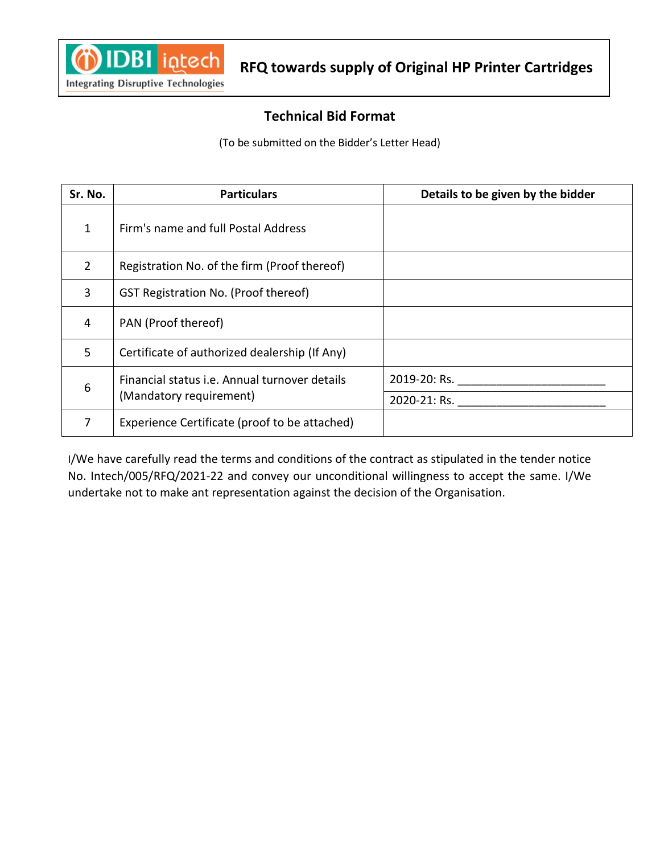

**RFQ towards supply of Original HP Printer Cartridges**

### **Technical Bid Format**

(To be submitted on the Bidder's Letter Head)

| Sr. No.         | <b>Particulars</b>                                                       | Details to be given by the bidder |
|-----------------|--------------------------------------------------------------------------|-----------------------------------|
| $\mathbf{1}$    | Firm's name and full Postal Address                                      |                                   |
| $\overline{2}$  | Registration No. of the firm (Proof thereof)                             |                                   |
| 3               | GST Registration No. (Proof thereof)                                     |                                   |
| $\overline{4}$  | PAN (Proof thereof)                                                      |                                   |
| 5               | Certificate of authorized dealership (If Any)                            |                                   |
| $6\phantom{1}6$ | Financial status i.e. Annual turnover details<br>(Mandatory requirement) | 2019-20: Rs.                      |
|                 |                                                                          | 2020-21: Rs.                      |
| 7               | Experience Certificate (proof to be attached)                            |                                   |

I/We have carefully read the terms and conditions of the contract as stipulated in the tender notice No. Intech/005/RFQ/2021-22 and convey our unconditional willingness to accept the same. I/We undertake not to make ant representation against the decision of the Organisation.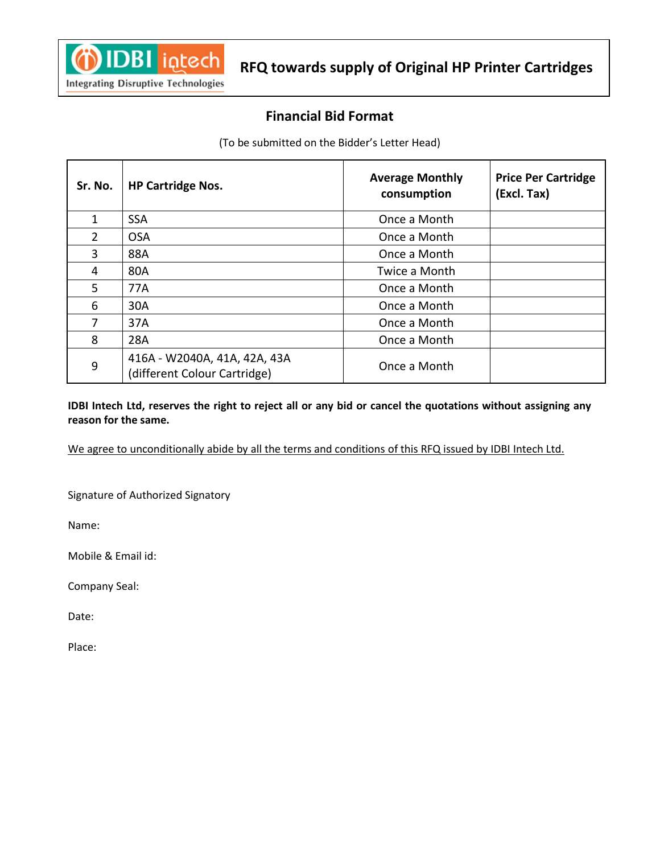

### **Financial Bid Format**

(To be submitted on the Bidder's Letter Head)

| Sr. No. | <b>HP Cartridge Nos.</b>                                     | <b>Average Monthly</b><br>consumption | <b>Price Per Cartridge</b><br>(Excl. Tax) |
|---------|--------------------------------------------------------------|---------------------------------------|-------------------------------------------|
| 1       | <b>SSA</b>                                                   | Once a Month                          |                                           |
| 2       | <b>OSA</b>                                                   | Once a Month                          |                                           |
| 3       | 88A                                                          | Once a Month                          |                                           |
| 4       | 80A                                                          | Twice a Month                         |                                           |
| 5       | 77A                                                          | Once a Month                          |                                           |
| 6       | 30A                                                          | Once a Month                          |                                           |
| 7       | 37A                                                          | Once a Month                          |                                           |
| 8       | 28A                                                          | Once a Month                          |                                           |
| 9       | 416A - W2040A, 41A, 42A, 43A<br>(different Colour Cartridge) | Once a Month                          |                                           |

**IDBI Intech Ltd, reserves the right to reject all or any bid or cancel the quotations without assigning any reason for the same.**

We agree to unconditionally abide by all the terms and conditions of this RFQ issued by IDBI Intech Ltd.

Signature of Authorized Signatory

Name:

Mobile & Email id:

Company Seal:

Date:

Place: